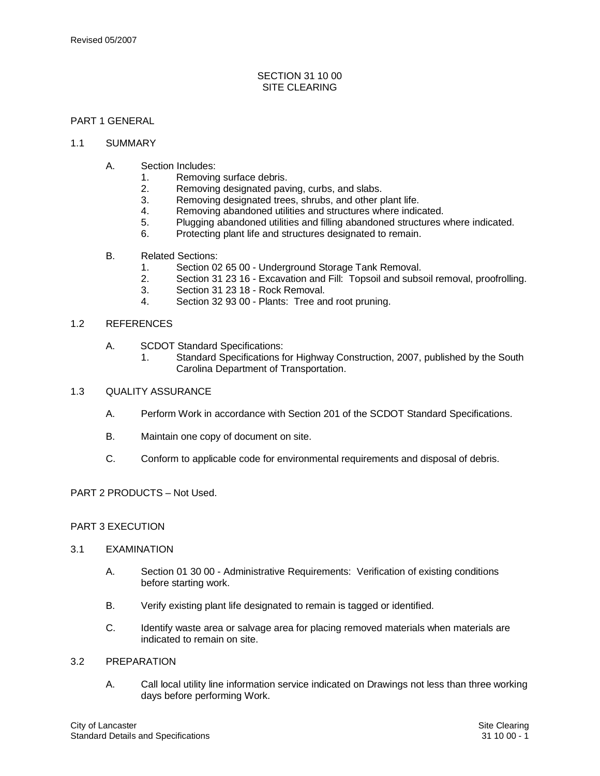## SECTION 31 10 00 SITE CLEARING

# PART 1 GENERAL

#### 1.1 SUMMARY

- A. Section Includes:
	- 1. Removing surface debris.
	- 2. Removing designated paving, curbs, and slabs.
	- 3. Removing designated trees, shrubs, and other plant life.<br>4. Removing abandoned utilities and structures where indig
	- Removing abandoned utilities and structures where indicated.
	- 5. Plugging abandoned utilities and filling abandoned structures where indicated.
	- 6. Protecting plant life and structures designated to remain.
- B. Related Sections:
	- 1. Section 02 65 00 Underground Storage Tank Removal.
	- 2. Section 31 23 16 Excavation and Fill: Topsoil and subsoil removal, proofrolling.
	- 3. Section 31 23 18 Rock Removal.
	- 4. Section 32 93 00 Plants: Tree and root pruning.

## 1.2 REFERENCES

- A. SCDOT Standard Specifications:
	- 1. Standard Specifications for Highway Construction, 2007, published by the South Carolina Department of Transportation.
- 1.3 QUALITY ASSURANCE
	- A. Perform Work in accordance with Section 201 of the SCDOT Standard Specifications.
	- B. Maintain one copy of document on site.
	- C. Conform to applicable code for environmental requirements and disposal of debris.

## PART 2 PRODUCTS – Not Used.

# PART 3 EXECUTION

### 3.1 EXAMINATION

- A. Section 01 30 00 Administrative Requirements: Verification of existing conditions before starting work.
- B. Verify existing plant life designated to remain is tagged or identified.
- C. Identify waste area or salvage area for placing removed materials when materials are indicated to remain on site.

#### 3.2 PREPARATION

A. Call local utility line information service indicated on Drawings not less than three working days before performing Work.